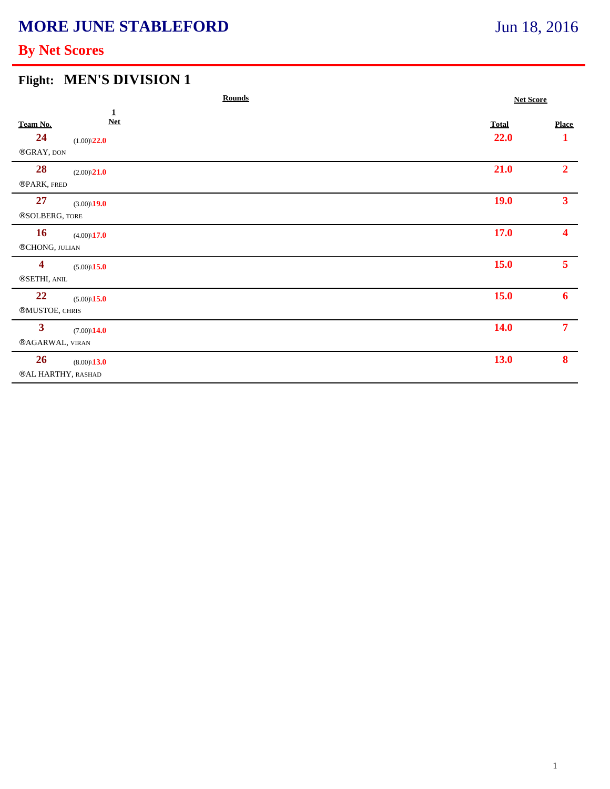# **MORE JUNE STABLEFORD**

# Jun 18, 2016

### **By Net Scores**

#### **Flight: MEN'S DIVISION 1**

|                                                |                                             | <b>Rounds</b> |                      | <b>Net Score</b>  |  |
|------------------------------------------------|---------------------------------------------|---------------|----------------------|-------------------|--|
| Team No.<br>24<br>$\circledR GRAY,$ DON        | $\mathbf 1$<br>$Net$<br>$(1.00)\sqrt{22.0}$ |               | <b>Total</b><br>22.0 | <b>Place</b><br>1 |  |
| 28<br>®PARK, FRED                              | $(2.00)\sqrt{21.0}$                         |               | 21.0                 | 2 <sup>1</sup>    |  |
| 27<br>®SOLBERG, TORE                           | $(3.00)\$ <b>19.0</b>                       |               | <b>19.0</b>          | 3 <sup>1</sup>    |  |
| <b>16</b><br>$\circledR{\text{CHONG}},$ JULIAN | $(4.00)\$ <b>17.0</b>                       |               | 17.0                 | 4                 |  |
| $\overline{\mathbf{4}}$<br>®SETHI, ANIL        | $(5.00)\sqrt{15.0}$                         |               | 15.0                 | 5 <sup>1</sup>    |  |
| 22<br><b>®MUSTOE, CHRIS</b>                    | $(5.00)\sqrt{15.0}$                         |               | 15.0                 | 6 <sup>1</sup>    |  |
| $\mathbf{3}$<br><b>®AGARWAL, VIRAN</b>         | $(7.00)\$ <b>14.0</b>                       |               | <b>14.0</b>          | 7 <sup>1</sup>    |  |
| 26<br>®AL HARTHY, RASHAD                       | $(8.00)\backslash 13.0$                     |               | 13.0                 | $\bf{8}$          |  |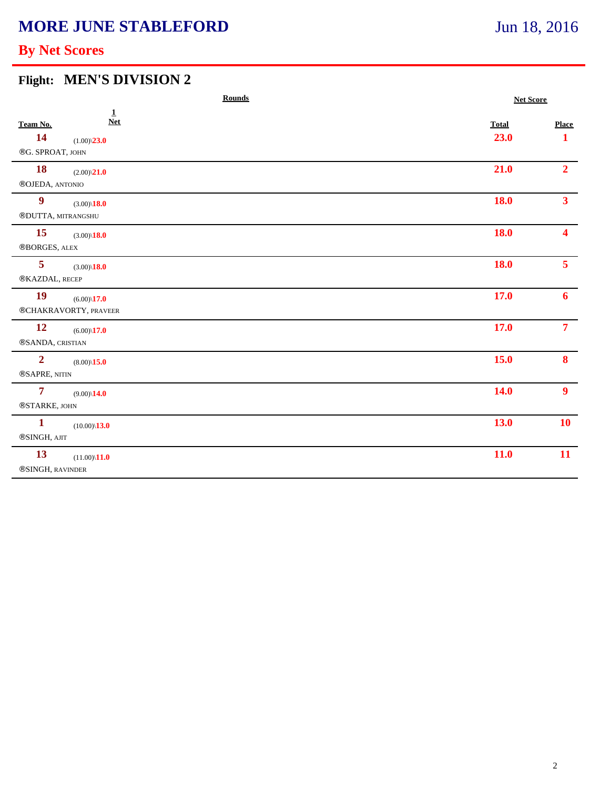# **MORE JUNE STABLEFORD**

### **By Net Scores**

#### **Flight: MEN'S DIVISION 2**

|                         | <b>Rounds</b>           |  |              | <b>Net Score</b> |  |
|-------------------------|-------------------------|--|--------------|------------------|--|
| Team No.                | $\mathbf{1}$<br>$Net$   |  | <b>Total</b> | <b>Place</b>     |  |
| 14                      | $(1.00)\sqrt{23.0}$     |  | 23.0         | $\mathbf{1}$     |  |
| ®G. SPROAT, JOHN        |                         |  |              |                  |  |
| <b>18</b>               | $(2.00)\sqrt{21.0}$     |  | 21.0         | 2 <sup>1</sup>   |  |
| ®OJEDA, ANTONIO         |                         |  |              |                  |  |
| $\boldsymbol{9}$        | $(3.00)\$ <b>18.0</b>   |  | <b>18.0</b>  | 3 <sup>1</sup>   |  |
| ®DUTTA, MITRANGSHU      |                         |  |              |                  |  |
| 15                      | $(3.00)\sqrt{18.0}$     |  | <b>18.0</b>  | $\blacktriangle$ |  |
| ®BORGES, ALEX           |                         |  |              |                  |  |
| 5                       | $(3.00)\sqrt{18.0}$     |  | <b>18.0</b>  | 5 <sup>1</sup>   |  |
| ®KAZDAL, RECEP          |                         |  |              |                  |  |
| 19                      | $(6.00)\$ <b>17.0</b>   |  | 17.0         | 6 <sup>1</sup>   |  |
|                         | ®CHAKRAVORTY, PRAVEER   |  |              |                  |  |
| 12                      | $(6.00)\$ <b>17.0</b>   |  | 17.0         | 7 <sup>7</sup>   |  |
| ®SANDA, CRISTIAN        |                         |  |              |                  |  |
| $\overline{2}$          | $(8.00)\backslash 15.0$ |  | 15.0         | 8                |  |
| ®SAPRE, NITIN           |                         |  |              |                  |  |
| $\overline{\mathbf{7}}$ | $(9.00)\$ <b>14.0</b>   |  | <b>14.0</b>  | 9 <sup>1</sup>   |  |
| ®STARKE, JOHN           |                         |  |              |                  |  |
| $\mathbf{1}$            | $(10.00)\$ <b>13.0</b>  |  | 13.0         | <b>10</b>        |  |
| ®SINGH, AJIT            |                         |  |              |                  |  |
| 13                      |                         |  | 11.0         | 11               |  |
| ®SINGH, RAVINDER        | $(11.00)\$ <b>11.0</b>  |  |              |                  |  |
|                         |                         |  |              |                  |  |